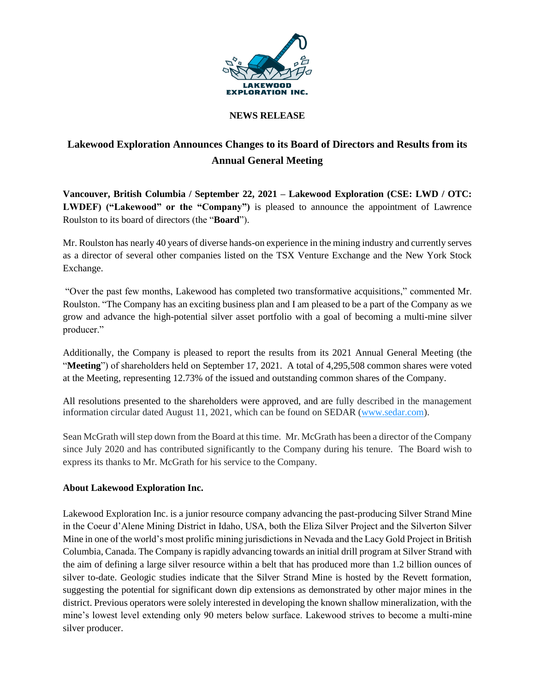

## **NEWS RELEASE**

## **Lakewood Exploration Announces Changes to its Board of Directors and Results from its Annual General Meeting**

**Vancouver, British Columbia / September 22, 2021 – Lakewood Exploration (CSE: LWD / OTC: LWDEF) ("Lakewood" or the "Company")** is pleased to announce the appointment of Lawrence Roulston to its board of directors (the "**Board**").

Mr. Roulston has nearly 40 years of diverse hands-on experience in the mining industry and currently serves as a director of several other companies listed on the TSX Venture Exchange and the New York Stock Exchange.

"Over the past few months, Lakewood has completed two transformative acquisitions," commented Mr. Roulston. "The Company has an exciting business plan and I am pleased to be a part of the Company as we grow and advance the high-potential silver asset portfolio with a goal of becoming a multi-mine silver producer."

Additionally, the Company is pleased to report the results from its 2021 Annual General Meeting (the "**Meeting**") of shareholders held on September 17, 2021. A total of 4,295,508 common shares were voted at the Meeting, representing 12.73% of the issued and outstanding common shares of the Company.

All resolutions presented to the shareholders were approved, and are fully described in the management information circular dated August 11, 2021, which can be found on SEDAR [\(www.sedar.com\)](https://c212.net/c/link/?t=0&l=en&o=3207875-1&h=4074781232&u=http%3A%2F%2Fwww.sedar.com%2F&a=www.sedar.com).

Sean McGrath will step down from the Board at this time. Mr. McGrath has been a director of the Company since July 2020 and has contributed significantly to the Company during his tenure. The Board wish to express its thanks to Mr. McGrath for his service to the Company.

## **About Lakewood Exploration Inc.**

Lakewood Exploration Inc. is a junior resource company advancing the past-producing Silver Strand Mine in the Coeur d'Alene Mining District in Idaho, USA, both the Eliza Silver Project and the Silverton Silver Mine in one of the world's most prolific mining jurisdictions in Nevada and the Lacy Gold Project in British Columbia, Canada. The Company is rapidly advancing towards an initial drill program at Silver Strand with the aim of defining a large silver resource within a belt that has produced more than 1.2 billion ounces of silver to-date. Geologic studies indicate that the Silver Strand Mine is hosted by the Revett formation, suggesting the potential for significant down dip extensions as demonstrated by other major mines in the district. Previous operators were solely interested in developing the known shallow mineralization, with the mine's lowest level extending only 90 meters below surface. Lakewood strives to become a multi-mine silver producer.